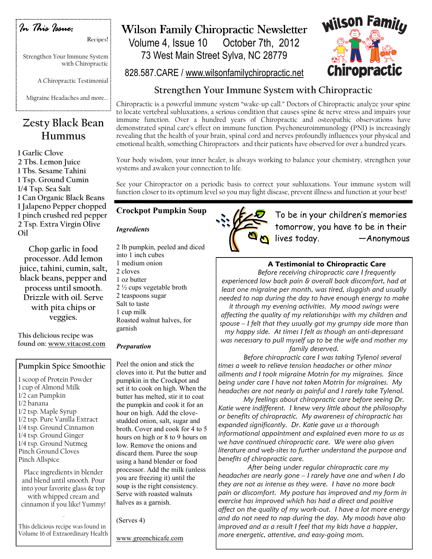

Strengthen Your Immune System

with Chiropractic

Recipes!

A Chiropractic Testimonial

Migraine Headaches and more...

# Zesty Black Bean Hummus

1 Garlic Clove 2 Tbs. Lemon Juice 1 Tbs. Sesame Tahini 1 Tsp. Ground Cumin 1/4 Tsp. Sea Salt 1 Can Organic Black Beans 1 Jalapeno Pepper chopped 1 pinch crushed red pepper 2 Tsp. Extra Virgin Olive Oil

Chop garlic in food processor. Add lemon juice, tahini, cumin, salt, black beans, pepper and process until smooth. Drizzle with oil. Serve with pita chips or veggies.

This delicious recipe was found on: www.vitacost.com

## Pumpkin Spice Smoothie

1 scoop of Protein Powder 1 cup of Almond Milk 1/2 can Pumpkin 1/2 banana 1/2 tsp. Maple Syrup 1/2 tsp. Pure Vanilla Extract 1/4 tsp. Ground Cinnamon 1/4 tsp. Ground Ginger 1/4 tsp. Ground Nutmeg Pinch Ground Cloves Pinch Allspice

Place ingredients in blender and blend until smooth. Pour into your favorite glass & top with whipped cream and cinnamon if you like! Yummy!

This delicious recipe was found in Volume 16 of Extraordinary Health

…

# Wilson Family Chiropractic Newsletter

Volume 4, Issue 10 October 7th, 2012 73 West Main Street Sylva, NC 28779



828.587.CARE / www.wilsonfamilychiropractic.net

## Strengthen Your Immune System with Chiropractic

Chiropractic is a powerful immune system "wake-up call." Doctors of Chiropractic analyze your spine to locate vertebral subluxations, a serious condition that causes spine & nerve stress and impairs your immune function. Over a hundred years of Chiropractic and osteopathic observations have demonstrated spinal care's effect on immune function. Psychoneuroimmunology (PNI) is increasingly revealing that the health of your brain, spinal cord and nerves profoundly influences your physical and emotional health, something Chiropractors and their patients have observed for over a hundred years.

Your body wisdom, your inner healer, is always working to balance your chemistry, strengthen your systems and awaken your connection to life.

See your Chiropractor on a periodic basis to correct your subluxations. Your immune system will function closer to its optimum level so you may fight disease, prevent illness and function at your best!

## Crockpot Pumpkin Soup

### **Ingredients**

2 lb pumpkin, peeled and diced into 1 inch cubes 1 medium onion 2 cloves 1 oz butter 2 ½ cups vegetable broth 2 teaspoons sugar Salt to taste 1 cup milk Roasted walnut halves, for garnish

### Preparation

Peel the onion and stick the cloves into it. Put the butter and pumpkin in the Crockpot and set it to cook on high. When the butter has melted, stir it to coat the pumpkin and cook it for an hour on high. Add the clovestudded onion, salt, sugar and broth. Cover and cook for 4 to 5 hours on high or 8 to 9 hours on low. Remove the onions and discard them. Puree the soup using a hand blender or food processor. Add the milk (unless you are freezing it) until the soup is the right consistency. Serve with roasted walnuts halves as a garnish.

(Serves 4)



To be in your children's memories tomorrow, you have to be in their lives today. —Anonymous

## A Testimonial to Chiropractic Care

Before receiving chiropractic care I frequently experienced low back pain & overall back discomfort, had at least one migraine per month, was tired, sluggish and usually needed to nap during the day to have enough energy to make

it through my evening activities. My mood swings were affecting the quality of my relationships with my children and spouse – I felt that they usually got my grumpy side more than my happy side. At times I felt as though an anti-depressant was necessary to pull myself up to be the wife and mother my family deserved.

 Before chiropractic care I was taking Tylenol several times a week to relieve tension headaches or other minor ailments and I took migraine Motrin for my migraines. Since being under care I have not taken Motrin for migraines. My headaches are not nearly as painful and I rarely take Tylenol.

 My feelings about chiropractic care before seeing Dr. Katie were indifferent. I knew very little about the philosophy or benefits of chiropractic. My awareness of chiropractic has expanded significantly. Dr. Katie gave us a thorough informational appointment and explained even more to us as we have continued chiropractic care. We were also given literature and web-sites to further understand the purpose and benefits of chiropractic care.

 After being under regular chiropractic care my headaches are nearly gone – I rarely have one and when I do they are not as intense as they were. I have no more back pain or discomfort. My posture has improved and my form in exercise has improved which has had a direct and positive affect on the quality of my work-out. I have a lot more energy and do not need to nap during the day. My moods have also improved and as a result I feel that my kids have a happier, more energetic, attentive, and easy-going mom.